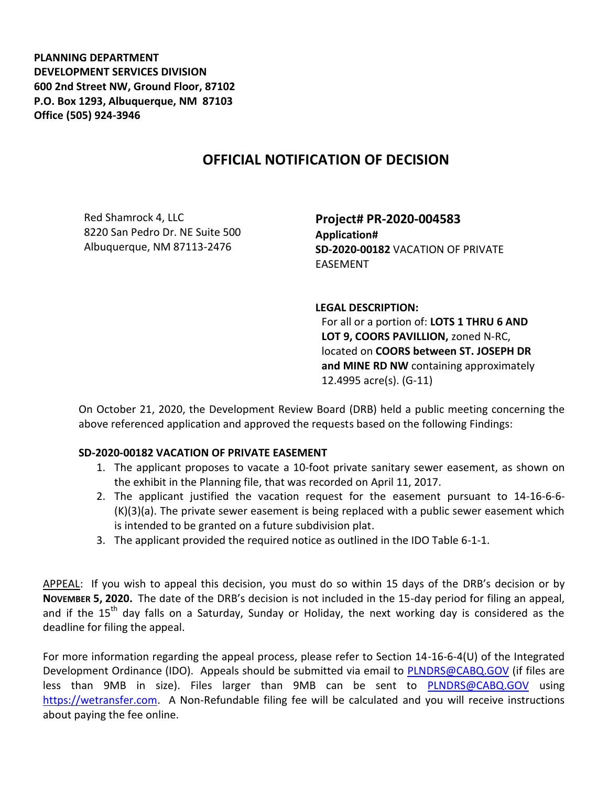**PLANNING DEPARTMENT DEVELOPMENT SERVICES DIVISION 600 2nd Street NW, Ground Floor, 87102 P.O. Box 1293, Albuquerque, NM 87103 Office (505) 924-3946** 

## **OFFICIAL NOTIFICATION OF DECISION**

Red Shamrock 4, LLC 8220 San Pedro Dr. NE Suite 500 Albuquerque, NM 87113-2476

**Project# PR-2020-004583 Application# SD-2020-00182** VACATION OF PRIVATE EASEMENT

## **LEGAL DESCRIPTION:**

For all or a portion of: **LOTS 1 THRU 6 AND LOT 9, COORS PAVILLION,** zoned N-RC, located on **COORS between ST. JOSEPH DR and MINE RD NW** containing approximately 12.4995 acre(s). (G-11)

On October 21, 2020, the Development Review Board (DRB) held a public meeting concerning the above referenced application and approved the requests based on the following Findings:

## **SD-2020-00182 VACATION OF PRIVATE EASEMENT**

- 1. The applicant proposes to vacate a 10-foot private sanitary sewer easement, as shown on the exhibit in the Planning file, that was recorded on April 11, 2017.
- 2. The applicant justified the vacation request for the easement pursuant to 14-16-6-6- (K)(3)(a). The private sewer easement is being replaced with a public sewer easement which is intended to be granted on a future subdivision plat.
- 3. The applicant provided the required notice as outlined in the IDO Table 6-1-1.

APPEAL: If you wish to appeal this decision, you must do so within 15 days of the DRB's decision or by **NOVEMBER 5, 2020.** The date of the DRB's decision is not included in the 15-day period for filing an appeal, and if the 15<sup>th</sup> day falls on a Saturday, Sunday or Holiday, the next working day is considered as the deadline for filing the appeal.

For more information regarding the appeal process, please refer to Section 14-16-6-4(U) of the Integrated Development Ordinance (IDO). Appeals should be submitted via email to [PLNDRS@CABQ.GOV](mailto:PLNDRS@CABQ.GOV) (if files are less than 9MB in size). Files larger than 9MB can be sent to [PLNDRS@CABQ.GOV](mailto:PLNDRS@CABQ.GOV) using [https://wetransfer.com.](https://wetransfer.com/) A Non-Refundable filing fee will be calculated and you will receive instructions about paying the fee online.